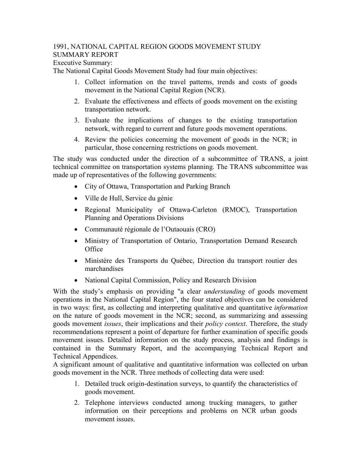## 1991, NATIONAL CAPITAL REGION GOODS MOVEMENT STUDY SUMMARY REPORT

Executive Summary:

The National Capital Goods Movement Study had four main objectives:

- 1. Collect information on the travel patterns, trends and costs of goods movement in the National Capital Region (NCR).
- 2. Evaluate the effectiveness and effects of goods movement on the existing transportation network.
- 3. Evaluate the implications of changes to the existing transportation network, with regard to current and future goods movement operations.
- 4. Review the policies concerning the movement of goods in the NCR; in particular, those concerning restrictions on goods movement.

The study was conducted under the direction of a subcommittee of TRANS, a joint technical committee on transportation systems planning. The TRANS subcommittee was made up of representatives of the following governments:

- City of Ottawa, Transportation and Parking Branch
- Ville de Hull, Service du génie
- Regional Municipality of Ottawa-Carleton (RMOC), Transportation Planning and Operations Divisions
- Communauté régionale de l'Outaouais (CRO)
- Ministry of Transportation of Ontario, Transportation Demand Research **Office**
- Ministère des Transports du Québec, Direction du transport routier des marchandises
- National Capital Commission, Policy and Research Division

With the study's emphasis on providing "a clear *understanding* of goods movement operations in the National Capital Region", the four stated objectives can be considered in two ways: first, as collecting and interpreting qualitative and quantitative *information* on the nature of goods movement in the NCR; second, as summarizing and assessing goods movement *issues*, their implications and their *policy context*. Therefore, the study recommendations represent a point of departure for further examination of specific goods movement issues. Detailed information on the study process, analysis and findings is contained in the Summary Report, and the accompanying Technical Report and Technical Appendices.

A significant amount of qualitative and quantitative information was collected on urban goods movement in the NCR. Three methods of collecting data were used:

- 1. Detailed truck origin-destination surveys, to quantify the characteristics of goods movement.
- 2. Telephone interviews conducted among trucking managers, to gather information on their perceptions and problems on NCR urban goods movement issues.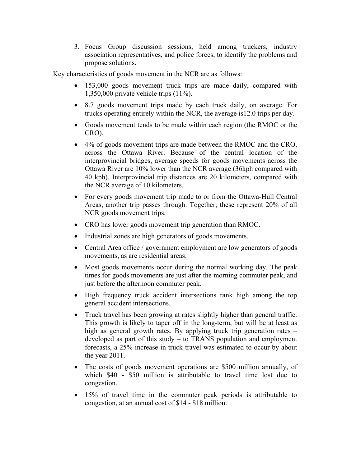3. Focus Group discussion sessions, held among truckers, industry association representatives, and police forces, to identify the problems and propose solutions.

Key characteristics of goods movement in the NCR are as follows:

- 153,000 goods movement truck trips are made daily, compared with 1,350,000 private vehicle trips (11%).
- 8.7 goods movement trips made by each truck daily, on average. For trucks operating entirely within the NCR, the average is12.0 trips per day.
- Goods movement tends to be made within each region (the RMOC or the CRO).
- 4% of goods movement trips are made between the RMOC and the CRO, across the Ottawa River. Because of the central location of the interprovincial bridges, average speeds for goods movements across the Ottawa River are 10% lower than the NCR average (36kph compared with 40 kph). Interprovincial trip distances are 20 kilometers, compared with the NCR average of 10 kilometers.
- For every goods movement trip made to or from the Ottawa-Hull Central Areas, another trip passes through. Together, these represent 20% of all NCR goods movement trips.
- CRO has lower goods movement trip generation than RMOC.
- Industrial zones are high generators of goods movements.
- Central Area office / government employment are low generators of goods movements, as are residential areas.
- Most goods movements occur during the normal working day. The peak times for goods movements are just after the morning commuter peak, and just before the afternoon commuter peak.
- High frequency truck accident intersections rank high among the top general accident intersections.
- Truck travel has been growing at rates slightly higher than general traffic. This growth is likely to taper off in the long-term, but will be at least as high as general growth rates. By applying truck trip generation rates – developed as part of this study – to TRANS population and employment forecasts, a 25% increase in truck travel was estimated to occur by about the year 2011.
- The costs of goods movement operations are \$500 million annually, of which \$40 - \$50 million is attributable to travel time lost due to congestion.
- 15% of travel time in the commuter peak periods is attributable to congestion, at an annual cost of \$14 - \$18 million.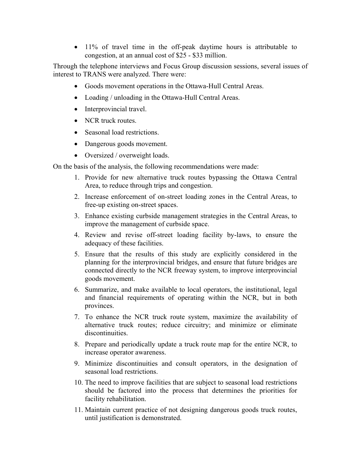• 11% of travel time in the off-peak daytime hours is attributable to congestion, at an annual cost of \$25 - \$33 million.

Through the telephone interviews and Focus Group discussion sessions, several issues of interest to TRANS were analyzed. There were:

- Goods movement operations in the Ottawa-Hull Central Areas.
- Loading / unloading in the Ottawa-Hull Central Areas.
- Interprovincial travel.
- NCR truck routes.
- Seasonal load restrictions.
- Dangerous goods movement.
- Oversized / overweight loads.

On the basis of the analysis, the following recommendations were made:

- 1. Provide for new alternative truck routes bypassing the Ottawa Central Area, to reduce through trips and congestion.
- 2. Increase enforcement of on-street loading zones in the Central Areas, to free-up existing on-street spaces.
- 3. Enhance existing curbside management strategies in the Central Areas, to improve the management of curbside space.
- 4. Review and revise off-street loading facility by-laws, to ensure the adequacy of these facilities.
- 5. Ensure that the results of this study are explicitly considered in the planning for the interprovincial bridges, and ensure that future bridges are connected directly to the NCR freeway system, to improve interprovincial goods movement.
- 6. Summarize, and make available to local operators, the institutional, legal and financial requirements of operating within the NCR, but in both provinces.
- 7. To enhance the NCR truck route system, maximize the availability of alternative truck routes; reduce circuitry; and minimize or eliminate discontinuities.
- 8. Prepare and periodically update a truck route map for the entire NCR, to increase operator awareness.
- 9. Minimize discontinuities and consult operators, in the designation of seasonal load restrictions.
- 10. The need to improve facilities that are subject to seasonal load restrictions should be factored into the process that determines the priorities for facility rehabilitation.
- 11. Maintain current practice of not designing dangerous goods truck routes, until justification is demonstrated.